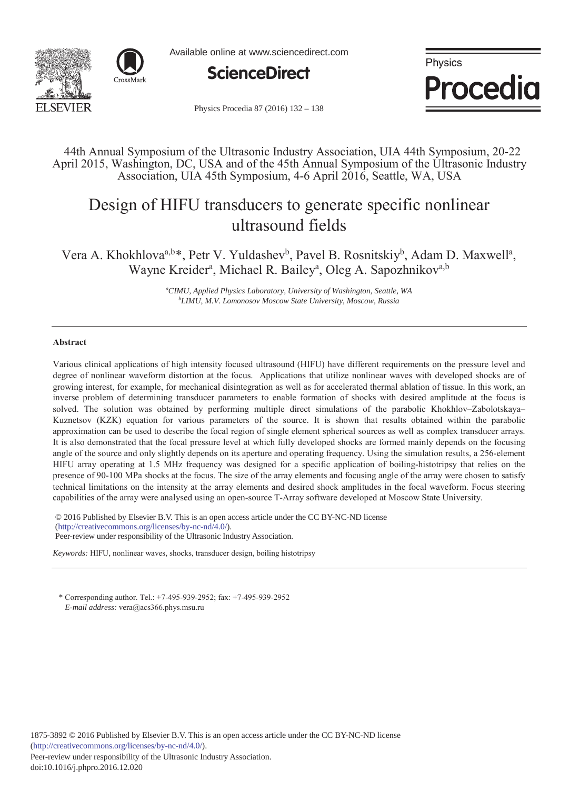



Available online at www.sciencedirect.com



Physics Procedia

Physics Procedia 87 (2016) 132 - 138

# 44th Annual Symposium of the Ultrasonic Industry Association, UIA 44th Symposium, 20-22 April 2015, Washington, DC, USA and of the 45th Annual Symposium of the Ultrasonic Industry Association, UIA 45th Symposium, 4-6 April 2016, Seattle, WA, USA

# Design of HIFU transducers to generate specific nonlinear ultrasound fields

Vera A. Khokhlova<sup>a,b\*</sup>, Petr V. Yuldashev<sup>b</sup>, Pavel B. Rosnitskiy<sup>b</sup>, Adam D. Maxwell<sup>a</sup>, Wayne Kreider<sup>a</sup>, Michael R. Bailey<sup>a</sup>, Oleg A. Sapozhnikov<sup>a,b</sup>

> *a CIMU, Applied Physics Laboratory, University of Washington, Seattle, WA b LIMU, M.V. Lomonosov Moscow State University, Moscow, Russia*

# **Abstract**

Various clinical applications of high intensity focused ultrasound (HIFU) have different requirements on the pressure level and degree of nonlinear waveform distortion at the focus. Applications that utilize nonlinear waves with developed shocks are of growing interest, for example, for mechanical disintegration as well as for accelerated thermal ablation of tissue. In this work, an inverse problem of determining transducer parameters to enable formation of shocks with desired amplitude at the focus is solved. The solution was obtained by performing multiple direct simulations of the parabolic Khokhlov–Zabolotskaya– Kuznetsov (KZK) equation for various parameters of the source. It is shown that results obtained within the parabolic approximation can be used to describe the focal region of single element spherical sources as well as complex transducer arrays. It is also demonstrated that the focal pressure level at which fully developed shocks are formed mainly depends on the focusing angle of the source and only slightly depends on its aperture and operating frequency. Using the simulation results, a 256-element HIFU array operating at 1.5 MHz frequency was designed for a specific application of boiling-histotripsy that relies on the presence of 90-100 MPa shocks at the focus. The size of the array elements and focusing angle of the array were chosen to satisfy technical limitations on the intensity at the array elements and desired shock amplitudes in the focal waveform. Focus steering capabilities of the array were analysed using an open-source T-Array software developed at Moscow State University.

© 2016 The Authors. Published by Elsevier B.V. © 2016 Published by Elsevier B.V. This is an open access article under the CC BY-NC-ND license Peer-review under responsibility of the Ultrasonic Industry Association. Peer-review under responsibility of the Ultrasonic Industry Association.(http://creativecommons.org/licenses/by-nc-nd/4.0/).

*Keywords:* HIFU, nonlinear waves, shocks, transducer design, boiling histotripsy

\* Corresponding author. Tel.: +7-495-939-2952; fax: +7-495-939-2952 *E-mail address:* vera@acs366.phys.msu.ru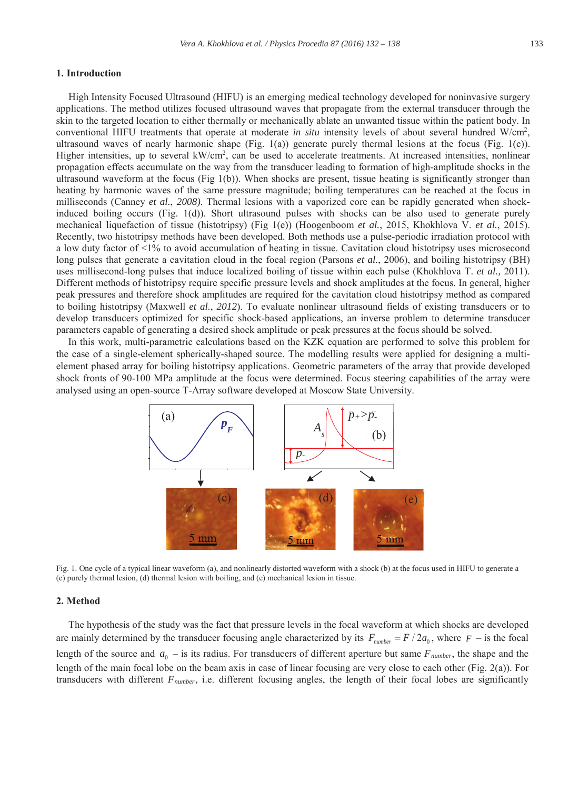#### **1. Introduction**

High Intensity Focused Ultrasound (HIFU) is an emerging medical technology developed for noninvasive surgery applications. The method utilizes focused ultrasound waves that propagate from the external transducer through the skin to the targeted location to either thermally or mechanically ablate an unwanted tissue within the patient body. In conventional HIFU treatments that operate at moderate *in situ* intensity levels of about several hundred W/cm<sup>2</sup>, ultrasound waves of nearly harmonic shape (Fig. 1(a)) generate purely thermal lesions at the focus (Fig. 1(c)). Higher intensities, up to several kW/cm<sup>2</sup>, can be used to accelerate treatments. At increased intensities, nonlinear propagation effects accumulate on the way from the transducer leading to formation of high-amplitude shocks in the ultrasound waveform at the focus (Fig  $1(b)$ ). When shocks are present, tissue heating is significantly stronger than heating by harmonic waves of the same pressure magnitude; boiling temperatures can be reached at the focus in milliseconds (Canney *et al.*, *2008)*. Thermal lesions with a vaporized core can be rapidly generated when shockinduced boiling occurs (Fig. 1(d)). Short ultrasound pulses with shocks can be also used to generate purely mechanical liquefaction of tissue (histotripsy) (Fig 1(e)) (Hoogenboom *et al.*, 2015, Khokhlova V. *et al.*, 2015). Recently, two histotripsy methods have been developed. Both methods use a pulse-periodic irradiation protocol with a low duty factor of <1% to avoid accumulation of heating in tissue. Cavitation cloud histotripsy uses microsecond long pulses that generate a cavitation cloud in the focal region (Parsons *et al.*, 2006), and boiling histotripsy (BH) uses millisecond-long pulses that induce localized boiling of tissue within each pulse (Khokhlova T. *et al.,* 2011). Different methods of histotripsy require specific pressure levels and shock amplitudes at the focus. In general, higher peak pressures and therefore shock amplitudes are required for the cavitation cloud histotripsy method as compared to boiling histotripsy (Maxwell *et al.*, *2012*). To evaluate nonlinear ultrasound fields of existing transducers or to develop transducers optimized for specific shock-based applications, an inverse problem to determine transducer parameters capable of generating a desired shock amplitude or peak pressures at the focus should be solved.

In this work, multi-parametric calculations based on the KZK equation are performed to solve this problem for the case of a single-element spherically-shaped source. The modelling results were applied for designing a multielement phased array for boiling histotripsy applications. Geometric parameters of the array that provide developed shock fronts of 90-100 MPa amplitude at the focus were determined. Focus steering capabilities of the array were analysed using an open-source T-Array software developed at Moscow State University.



Fig. 1. One cycle of a typical linear waveform (a), and nonlinearly distorted waveform with a shock (b) at the focus used in HIFU to generate a (c) purely thermal lesion, (d) thermal lesion with boiling, and (e) mechanical lesion in tissue.

#### **2. Method**

The hypothesis of the study was the fact that pressure levels in the focal waveform at which shocks are developed are mainly determined by the transducer focusing angle characterized by its  $F_{number} = F / 2a_0$ , where  $F -$  is the focal length of the source and  $a_0$  – is its radius. For transducers of different aperture but same  $F_{number}$ , the shape and the length of the main focal lobe on the beam axis in case of linear focusing are very close to each other (Fig. 2(a)). For transducers with different *Fnumber*, i.e. different focusing angles, the length of their focal lobes are significantly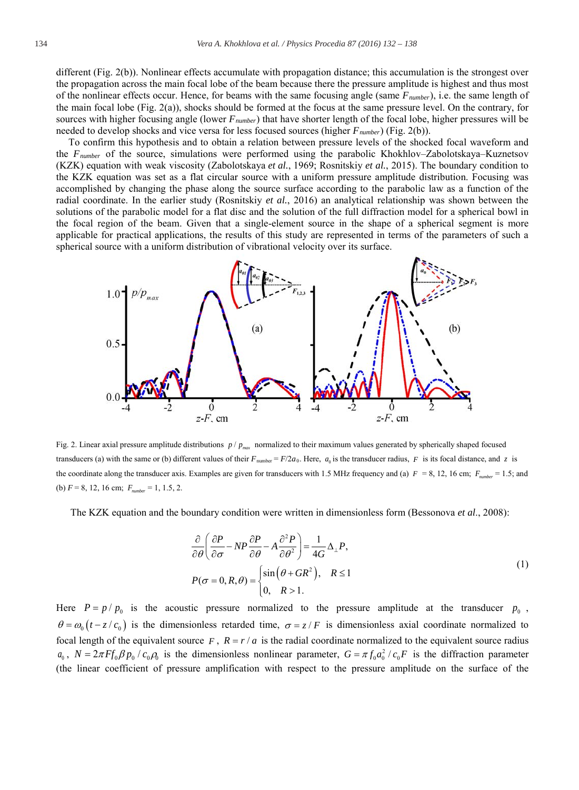different (Fig. 2(b)). Nonlinear effects accumulate with propagation distance; this accumulation is the strongest over the propagation across the main focal lobe of the beam because there the pressure amplitude is highest and thus most of the nonlinear effects occur. Hence, for beams with the same focusing angle (same *Fnumber*), i.e. the same length of the main focal lobe (Fig. 2(a)), shocks should be formed at the focus at the same pressure level. On the contrary, for sources with higher focusing angle (lower *Fnumber*) that have shorter length of the focal lobe, higher pressures will be needed to develop shocks and vice versa for less focused sources (higher *Fnumber*) (Fig. 2(b)).

To confirm this hypothesis and to obtain a relation between pressure levels of the shocked focal waveform and the *Fnumber* of the source, simulations were performed using the parabolic Khokhlov–Zabolotskaya–Kuznetsov (KZK) equation with weak viscosity (Zabolotskaya *et al.*, 1969; Rosnitskiy *et al.*, 2015). The boundary condition to the KZK equation was set as a flat circular source with a uniform pressure amplitude distribution. Focusing was accomplished by changing the phase along the source surface according to the parabolic law as a function of the radial coordinate. In the earlier study (Rosnitskiy *et al.*, 2016) an analytical relationship was shown between the solutions of the parabolic model for a flat disc and the solution of the full diffraction model for a spherical bowl in the focal region of the beam. Given that a single-element source in the shape of a spherical segment is more applicable for practical applications, the results of this study are represented in terms of the parameters of such a spherical source with a uniform distribution of vibrational velocity over its surface.



Fig. 2. Linear axial pressure amplitude distributions  $p / p_{max}$  normalized to their maximum values generated by spherically shaped focused transducers (a) with the same or (b) different values of their  $F_{\text{number}} = F/2a_0$ . Here,  $a_0$  is the transducer radius,  $F$  is its focal distance, and *z* is the coordinate along the transducer axis. Examples are given for transducers with 1.5 MHz frequency and (a)  $F = 8$ , 12, 16 cm;  $F_{\text{unrel}} = 1.5$ ; and (b)  $F = 8$ , 12, 16 cm;  $F_{number} = 1$ , 1.5, 2.

The KZK equation and the boundary condition were written in dimensionless form (Bessonova *et al*., 2008):

$$
\frac{\partial}{\partial \theta} \left( \frac{\partial P}{\partial \sigma} - NP \frac{\partial P}{\partial \theta} - A \frac{\partial^2 P}{\partial \theta^2} \right) = \frac{1}{4G} \Delta_{\perp} P,
$$
\n
$$
P(\sigma = 0, R, \theta) = \begin{cases} \sin(\theta + GR^2), & R \le 1 \\ 0, & R > 1. \end{cases}
$$
\n(1)

Here  $P = p / p_0$  is the acoustic pressure normalized to the pressure amplitude at the transducer  $p_0$ ,  $\theta = \omega_0(t - z/c_0)$  is the dimensionless retarded time,  $\sigma = z/F$  is dimensionless axial coordinate normalized to focal length of the equivalent source  $F$ ,  $R = r/a$  is the radial coordinate normalized to the equivalent source radius  $a_0$ ,  $N = 2\pi F f_0 \beta p_0 / c_0 \beta_0$  is the dimensionless nonlinear parameter,  $G = \pi f_0 a_0^2 / c_0 F$  is the diffraction parameter (the linear coefficient of pressure amplification with respect to the pressure amplitude on the surface of the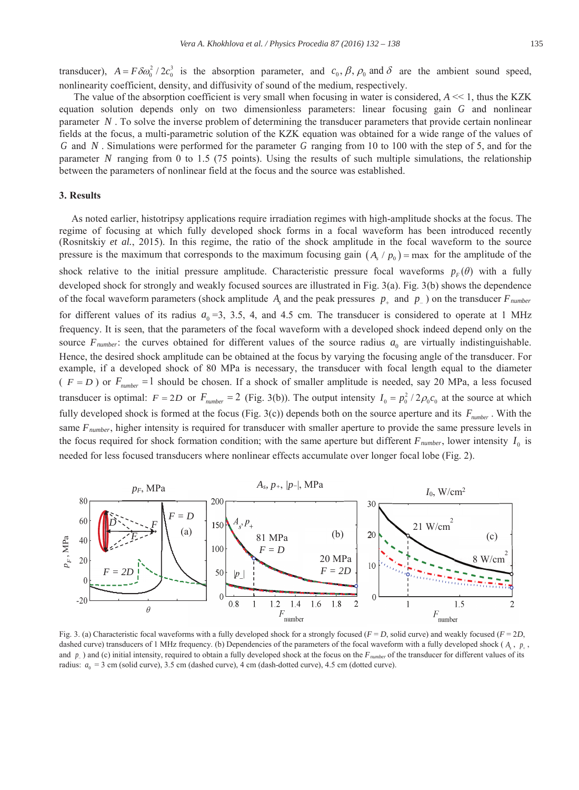transducer),  $A = F \delta \omega_0^2 / 2c_0^3$  is the absorption parameter, and  $c_0$ ,  $\beta$ ,  $\rho_0$  and  $\delta$  are the ambient sound speed, nonlinearity coefficient, density, and diffusivity of sound of the medium, respectively.

The value of the absorption coefficient is very small when focusing in water is considered, *A* << 1, thus the KZK equation solution depends only on two dimensionless parameters: linear focusing gain *G* and nonlinear parameter *N* . To solve the inverse problem of determining the transducer parameters that provide certain nonlinear fields at the focus, a multi-parametric solution of the KZK equation was obtained for a wide range of the values of *G* and *N* . Simulations were performed for the parameter *G* ranging from 10 to 100 with the step of 5, and for the parameter *N* ranging from 0 to 1.5 (75 points). Using the results of such multiple simulations, the relationship between the parameters of nonlinear field at the focus and the source was established.

## **3. Results**

As noted earlier, histotripsy applications require irradiation regimes with high-amplitude shocks at the focus. The regime of focusing at which fully developed shock forms in a focal waveform has been introduced recently (Rosnitskiy *et al.*, 2015). In this regime, the ratio of the shock amplitude in the focal waveform to the source pressure is the maximum that corresponds to the maximum focusing gain  $(A_s / p_0)$  = max for the amplitude of the shock relative to the initial pressure amplitude. Characteristic pressure focal waveforms  $p_F(\theta)$  with a fully developed shock for strongly and weakly focused sources are illustrated in Fig. 3(a). Fig. 3(b) shows the dependence of the focal waveform parameters (shock amplitude  $A<sub>s</sub>$  and the peak pressures  $p<sub>u</sub>$  and  $p<sub>u</sub>$ ) on the transducer  $F<sub>number</sub>$ for different values of its radius  $a_0 = 3, 3.5, 4,$  and 4.5 cm. The transducer is considered to operate at 1 MHz frequency. It is seen, that the parameters of the focal waveform with a developed shock indeed depend only on the source  $F_{number}$ : the curves obtained for different values of the source radius  $a_0$  are virtually indistinguishable. Hence, the desired shock amplitude can be obtained at the focus by varying the focusing angle of the transducer. For example, if a developed shock of 80 MPa is necessary, the transducer with focal length equal to the diameter ( $F = D$ ) or  $F_{number} = 1$  should be chosen. If a shock of smaller amplitude is needed, say 20 MPa, a less focused transducer is optimal:  $F = 2D$  or  $F_{number} = 2$  (Fig. 3(b)). The output intensity  $I_0 = p_0^2 / 2\rho_0 c_0$  at the source at which fully developed shock is formed at the focus (Fig. 3(c)) depends both on the source aperture and its  $F_{number}$ . With the same *Fnumber*, higher intensity is required for transducer with smaller aperture to provide the same pressure levels in the focus required for shock formation condition; with the same aperture but different  $F_{number}$ , lower intensity  $I_0$  is needed for less focused transducers where nonlinear effects accumulate over longer focal lobe (Fig. 2).



Fig. 3. (a) Characteristic focal waveforms with a fully developed shock for a strongly focused ( $F = D$ , solid curve) and weakly focused ( $F = 2D$ , dashed curve) transducers of 1 MHz frequency. (b) Dependencies of the parameters of the focal waveform with a fully developed shock ( $A_s$ ,  $p_*$ , and  $p_{\text{-}}$ ) and (c) initial intensity, required to obtain a fully developed shock at the focus on the  $F_{number}$  of the transducer for different values of its radius:  $a_0 = 3$  cm (solid curve), 3.5 cm (dashed curve), 4 cm (dash-dotted curve), 4.5 cm (dotted curve).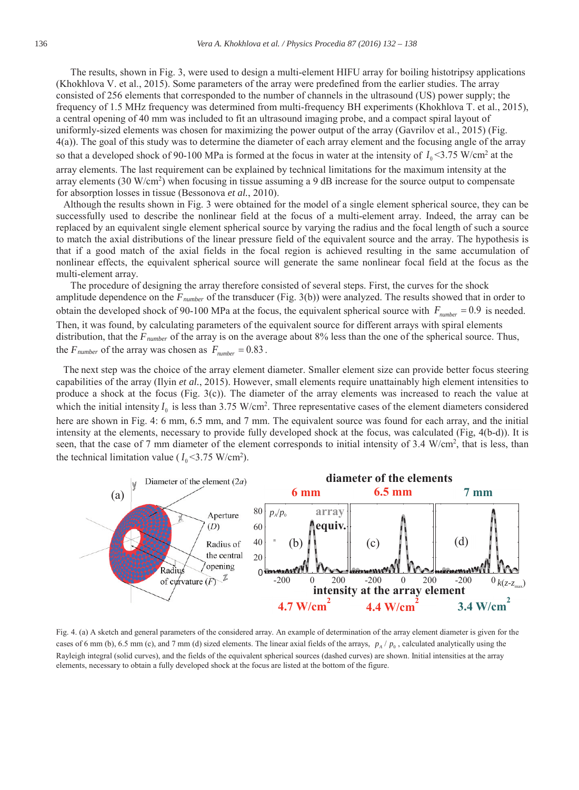The results, shown in Fig. 3, were used to design a multi-element HIFU array for boiling histotripsy applications (Khokhlova V. et al., 2015). Some parameters of the array were predefined from the earlier studies. The array consisted of 256 elements that corresponded to the number of channels in the ultrasound (US) power supply; the frequency of 1.5 MHz frequency was determined from multi-frequency BH experiments (Khokhlova T. et al., 2015), a central opening of 40 mm was included to fit an ultrasound imaging probe, and a compact spiral layout of uniformly-sized elements was chosen for maximizing the power output of the array (Gavrilov et al., 2015) (Fig. 4(a)). The goal of this study was to determine the diameter of each array element and the focusing angle of the array so that a developed shock of 90-100 MPa is formed at the focus in water at the intensity of  $I_0$  <3.75 W/cm<sup>2</sup> at the array elements. The last requirement can be explained by technical limitations for the maximum intensity at the array elements  $(30 \text{ W/cm}^2)$  when focusing in tissue assuming a 9 dB increase for the source output to compensate for absorption losses in tissue (Bessonova *et al.*, 2010).

Although the results shown in Fig. 3 were obtained for the model of a single element spherical source, they can be successfully used to describe the nonlinear field at the focus of a multi-element array. Indeed, the array can be replaced by an equivalent single element spherical source by varying the radius and the focal length of such a source to match the axial distributions of the linear pressure field of the equivalent source and the array. The hypothesis is that if a good match of the axial fields in the focal region is achieved resulting in the same accumulation of nonlinear effects, the equivalent spherical source will generate the same nonlinear focal field at the focus as the multi-element array.

The procedure of designing the array therefore consisted of several steps. First, the curves for the shock amplitude dependence on the *Fnumber* of the transducer (Fig. 3(b)) were analyzed. The results showed that in order to obtain the developed shock of 90-100 MPa at the focus, the equivalent spherical source with  $F_{number} = 0.9$  is needed. Then, it was found, by calculating parameters of the equivalent source for different arrays with spiral elements distribution, that the *Fnumber* of the array is on the average about 8% less than the one of the spherical source. Thus, the  $F_{number}$  of the array was chosen as  $F_{number} = 0.83$ .

The next step was the choice of the array element diameter. Smaller element size can provide better focus steering capabilities of the array (Ilyin *et al.*, 2015). However, small elements require unattainably high element intensities to produce a shock at the focus (Fig. 3(c)). The diameter of the array elements was increased to reach the value at which the initial intensity  $I_0$  is less than 3.75 W/cm<sup>2</sup>. Three representative cases of the element diameters considered here are shown in Fig. 4: 6 mm, 6.5 mm, and 7 mm. The equivalent source was found for each array, and the initial intensity at the elements, necessary to provide fully developed shock at the focus, was calculated (Fig, 4(b-d)). It is seen, that the case of 7 mm diameter of the element corresponds to initial intensity of 3.4 W/cm<sup>2</sup>, that is less, than the technical limitation value ( $I_0$ <3.75 W/cm<sup>2</sup>).



Fig. 4. (a) A sketch and general parameters of the considered array. An example of determination of the array element diameter is given for the cases of 6 mm (b), 6.5 mm (c), and 7 mm (d) sized elements. The linear axial fields of the arrays,  $p_A / p_0$ , calculated analytically using the Rayleigh integral (solid curves), and the fields of the equivalent spherical sources (dashed curves) are shown. Initial intensities at the array elements, necessary to obtain a fully developed shock at the focus are listed at the bottom of the figure.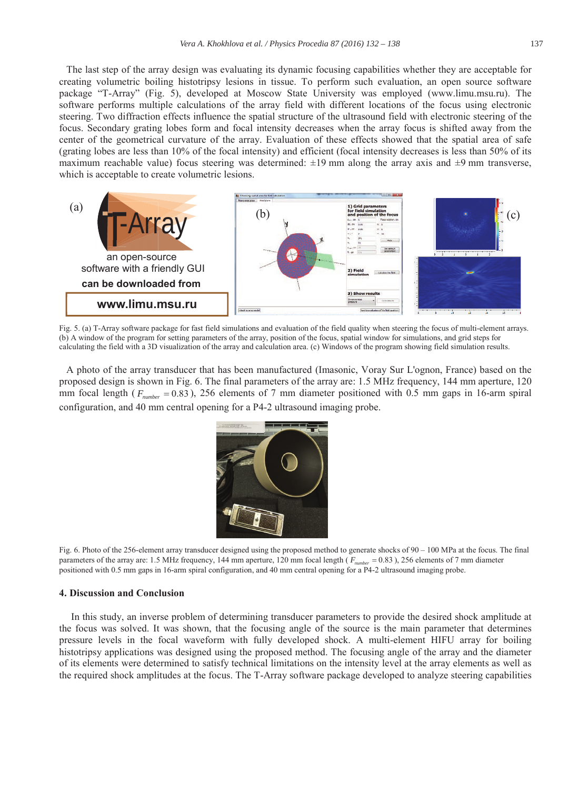The last step of the array design was evaluating its dynamic focusing capabilities whether they are acceptable for creating volumetric boiling histotripsy lesions in tissue. To perform such evaluation, an open source software package "T-Array" (Fig. 5), developed at Moscow State University was employed (www.limu.msu.ru). The software performs multiple calculations of the array field with different locations of the focus using electronic steering. Two diffraction effects influence the spatial structure of the ultrasound field with electronic steering of the focus. Secondary grating lobes form and focal intensity decreases when the array focus is shifted away from the center of the geometrical curvature of the array. Evaluation of these effects showed that the spatial area of safe (grating lobes are less than 10% of the focal intensity) and efficient (focal intensity decreases is less than 50% of its maximum reachable value) focus steering was determined:  $\pm 19$  mm along the array axis and  $\pm 9$  mm transverse, which is acceptable to create volumetric lesions.



Fig. 5. (a) T-Array software package for fast field simulations and evaluation of the field quality when steering the focus of multi-element arrays. (b) A window of the program for setting parameters of the array, position of the focus, spatial window for simulations, and grid steps for calculating the field with a 3D visualization of the array and calculation area. (c) Windows of the program showing field simulation results.

A photo of the array transducer that has been manufactured (Imasonic, Voray Sur L'ognon, France) based on the proposed design is shown in Fig. 6. The final parameters of the array are: 1.5 MHz frequency, 144 mm aperture, 120 mm focal length ( $F_{number} = 0.83$ ), 256 elements of 7 mm diameter positioned with 0.5 mm gaps in 16-arm spiral configuration, and 40 mm central opening for a P4-2 ultrasound imaging probe.



Fig. 6. Photo of the 256-element array transducer designed using the proposed method to generate shocks of 90 – 100 MPa at the focus. The final parameters of the array are: 1.5 MHz frequency, 144 mm aperture, 120 mm focal length ( $F_{number} = 0.83$ ), 256 elements of 7 mm diameter positioned with 0.5 mm gaps in 16-arm spiral configuration, and 40 mm central opening for a P4-2 ultrasound imaging probe.

### **4. Discussion and Conclusion**

In this study, an inverse problem of determining transducer parameters to provide the desired shock amplitude at the focus was solved. It was shown, that the focusing angle of the source is the main parameter that determines pressure levels in the focal waveform with fully developed shock. A multi-element HIFU array for boiling histotripsy applications was designed using the proposed method. The focusing angle of the array and the diameter of its elements were determined to satisfy technical limitations on the intensity level at the array elements as well as the required shock amplitudes at the focus. The T-Array software package developed to analyze steering capabilities